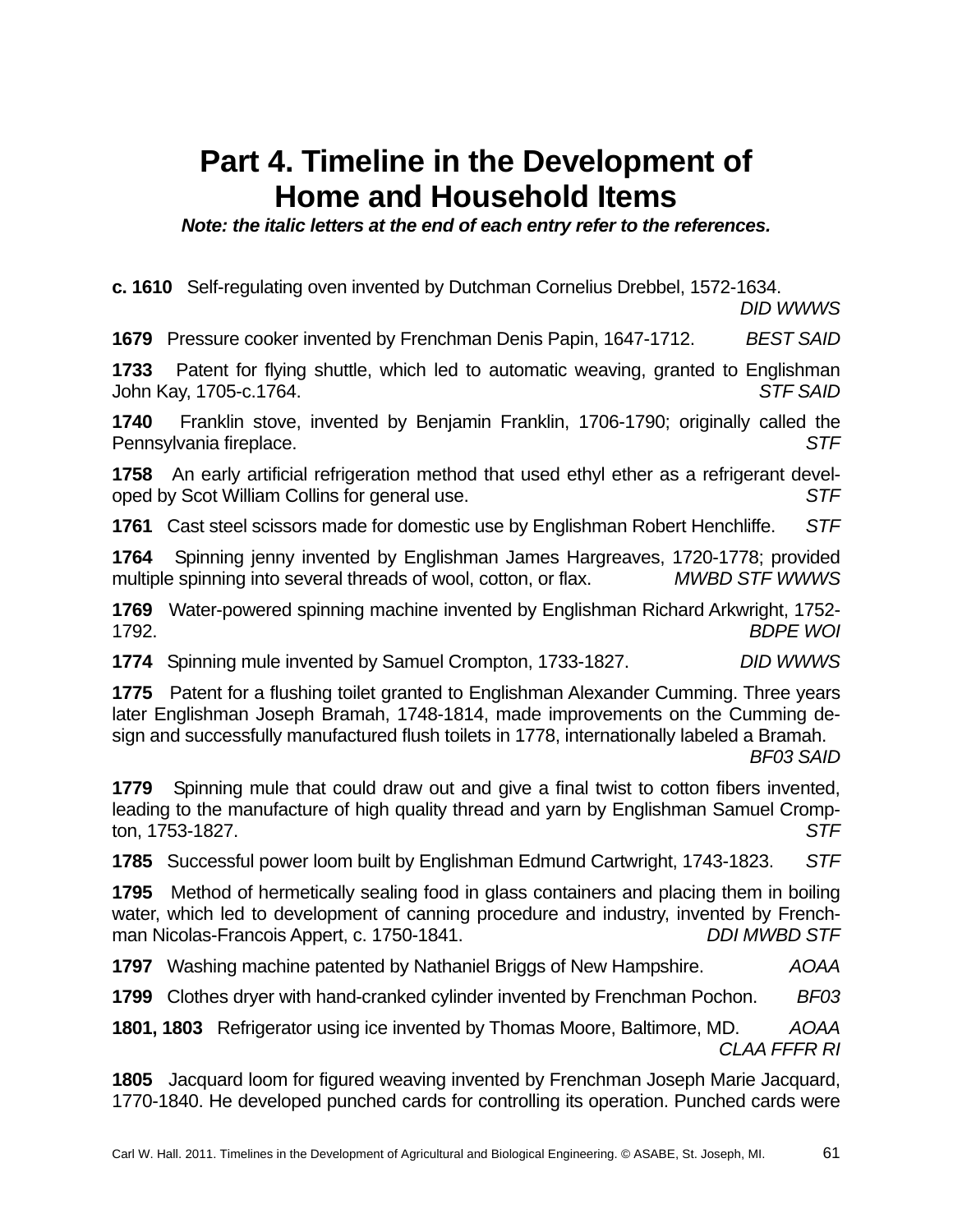## **Part 4. Timeline in the Development of Home and Household Items**

*Note: the italic letters at the end of each entry refer to the references.* 

**c. 1610** Self-regulating oven invented by Dutchman Cornelius Drebbel, 1572-1634.

*DID WWWS*

**1679** Pressure cooker invented by Frenchman Denis Papin, 1647-1712. *BEST SAID*

**1733** Patent for flying shuttle, which led to automatic weaving, granted to Englishman John Kay, 1705-c.1764. *STF SAID*

**1740** Franklin stove, invented by Benjamin Franklin, 1706-1790; originally called the Pennsylvania fireplace. *STF*

**1758** An early artificial refrigeration method that used ethyl ether as a refrigerant developed by Scot William Collins for general use. *STF*

**1761** Cast steel scissors made for domestic use by Englishman Robert Henchliffe. *STF* 

**1764** Spinning jenny invented by Englishman James Hargreaves, 1720-1778; provided multiple spinning into several threads of wool, cotton, or flax. *MWBD STF WWWS*

**1769** Water-powered spinning machine invented by Englishman Richard Arkwright, 1752- 1792. *BDPE WOI*

**1774** Spinning mule invented by Samuel Crompton, 1733-1827. *DID WWWS*

**1775** Patent for a flushing toilet granted to Englishman Alexander Cumming. Three years later Englishman Joseph Bramah, 1748-1814, made improvements on the Cumming design and successfully manufactured flush toilets in 1778, internationally labeled a Bramah.

*BF03 SAID* 

**1779** Spinning mule that could draw out and give a final twist to cotton fibers invented, leading to the manufacture of high quality thread and yarn by Englishman Samuel Crompton, 1753-1827. *STF*

**1785** Successful power loom built by Englishman Edmund Cartwright, 1743-1823. *STF*

**1795** Method of hermetically sealing food in glass containers and placing them in boiling water, which led to development of canning procedure and industry, invented by Frenchman Nicolas-Francois Appert, c. 1750-1841.

**1797** Washing machine patented by Nathaniel Briggs of New Hampshire. *AOAA*

**1799** Clothes dryer with hand-cranked cylinder invented by Frenchman Pochon. *BF03*

**1801, 1803** Refrigerator using ice invented by Thomas Moore, Baltimore, MD. *AOAA CLAA FFFR RI*

**1805** Jacquard loom for figured weaving invented by Frenchman Joseph Marie Jacquard, 1770-1840. He developed punched cards for controlling its operation. Punched cards were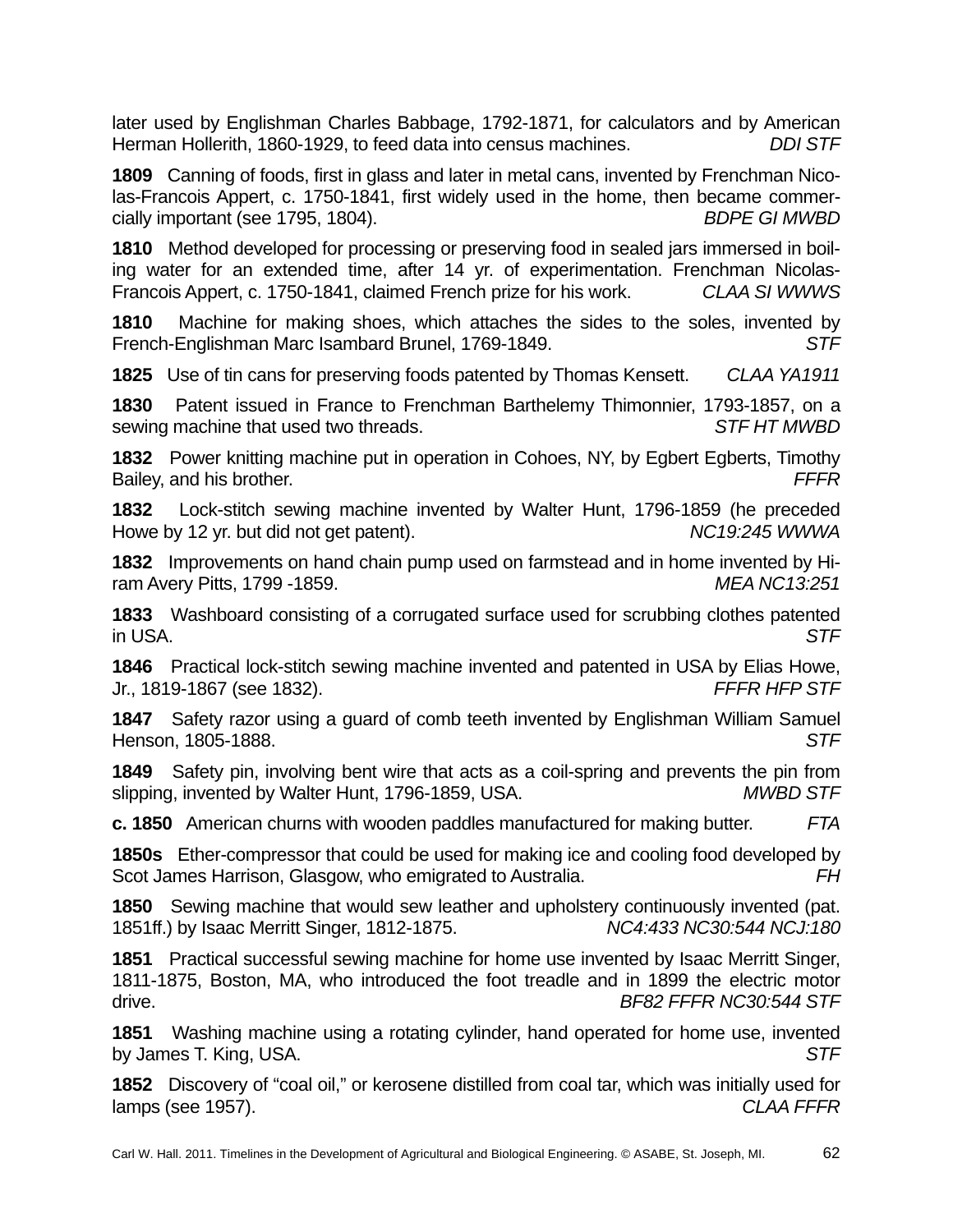later used by Englishman Charles Babbage, 1792-1871, for calculators and by American Herman Hollerith, 1860-1929, to feed data into census machines. *DDI STF*

**1809** Canning of foods, first in glass and later in metal cans, invented by Frenchman Nicolas-Francois Appert, c. 1750-1841, first widely used in the home, then became commercially important (see 1795, 1804). *BDPE GI MWBD*

**1810** Method developed for processing or preserving food in sealed jars immersed in boiling water for an extended time, after 14 yr. of experimentation. Frenchman Nicolas-Francois Appert, c. 1750-1841, claimed French prize for his work. *CLAA SI WWWS*

**1810** Machine for making shoes, which attaches the sides to the soles, invented by French-Englishman Marc Isambard Brunel, 1769-1849. *STF*

**1825** Use of tin cans for preserving foods patented by Thomas Kensett. *CLAA YA1911*

**1830** Patent issued in France to Frenchman Barthelemy Thimonnier, 1793-1857, on a sewing machine that used two threads. *STF HT MWBD*

**1832** Power knitting machine put in operation in Cohoes, NY, by Egbert Egberts, Timothy Bailey, and his brother. *FFFR*

**1832** Lock-stitch sewing machine invented by Walter Hunt, 1796-1859 (he preceded Howe by 12 yr. but did not get patent). *NC19:245 WWWA*

**1832** Improvements on hand chain pump used on farmstead and in home invented by Hiram Avery Pitts, 1799 -1859. *MEA NC13:251*

**1833** Washboard consisting of a corrugated surface used for scrubbing clothes patented in USA. *STF*

**1846** Practical lock-stitch sewing machine invented and patented in USA by Elias Howe, Jr., 1819-1867 (see 1832). *FFFR HFP STF*

**1847** Safety razor using a guard of comb teeth invented by Englishman William Samuel Henson, 1805-1888. *STF*

**1849** Safety pin, involving bent wire that acts as a coil-spring and prevents the pin from slipping, invented by Walter Hunt, 1796-1859, USA. *MWBD STF*

**c. 1850** American churns with wooden paddles manufactured for making butter. *FTA*

**1850s** Ether-compressor that could be used for making ice and cooling food developed by Scot James Harrison, Glasgow, who emigrated to Australia. *FH*

**1850** Sewing machine that would sew leather and upholstery continuously invented (pat. 1851ff.) by Isaac Merritt Singer, 1812-1875. *NC4:433 NC30:544 NCJ:180* 

**1851** Practical successful sewing machine for home use invented by Isaac Merritt Singer, 1811-1875, Boston, MA, who introduced the foot treadle and in 1899 the electric motor drive. *BF82 FFFR NC30:544 STF* 

**1851** Washing machine using a rotating cylinder, hand operated for home use, invented by James T. King, USA. *STF*

**1852** Discovery of "coal oil," or kerosene distilled from coal tar, which was initially used for lamps (see 1957). *CLAA FFFR*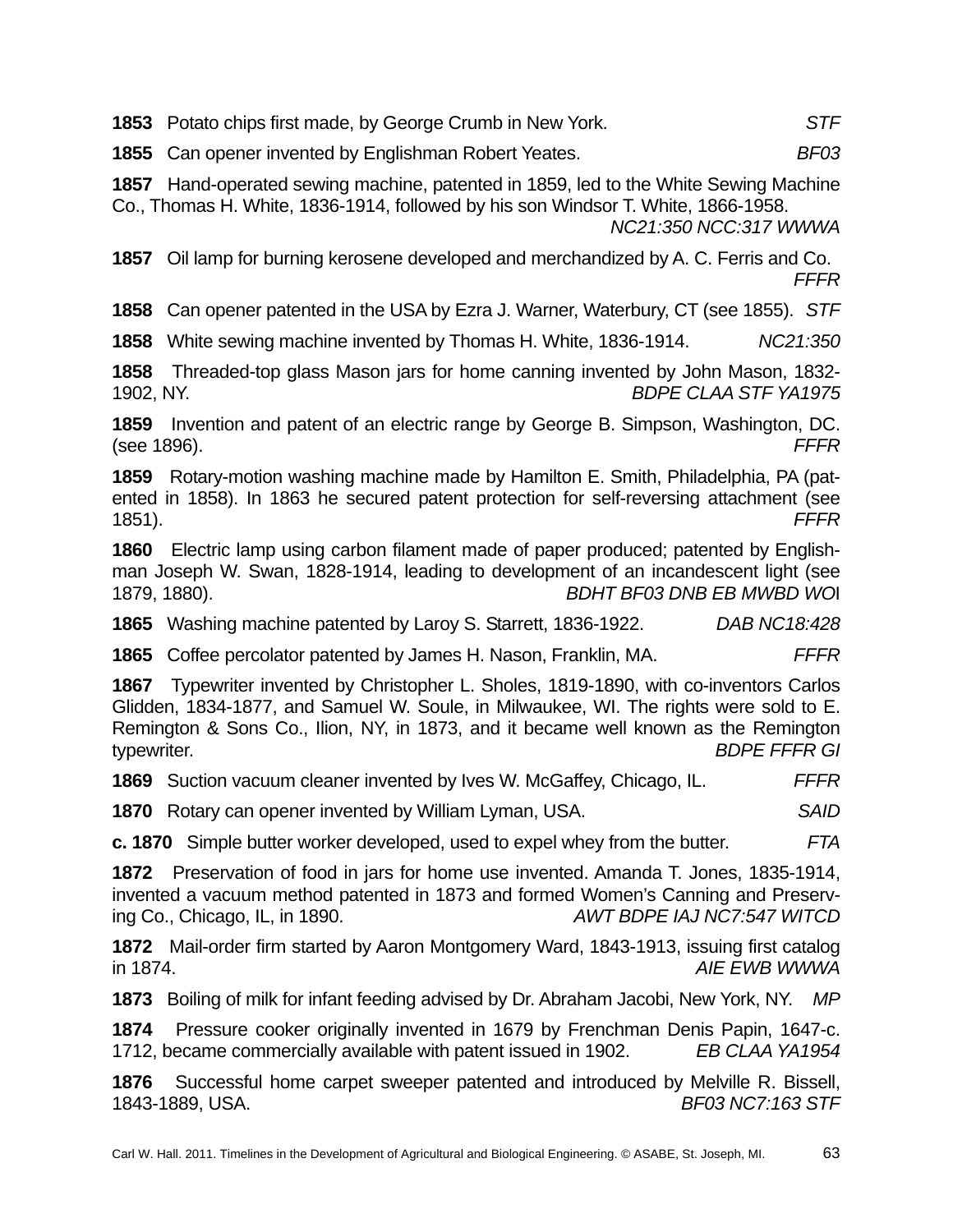**1853** Potato chips first made, by George Crumb in New York. *STF*

**1855** Can opener invented by Englishman Robert Yeates. *BF03*

**1857** Hand-operated sewing machine, patented in 1859, led to the White Sewing Machine Co., Thomas H. White, 1836-1914, followed by his son Windsor T. White, 1866-1958.

*NC21:350 NCC:317 WWWA*

**1857** Oil lamp for burning kerosene developed and merchandized by A. C. Ferris and Co. *FFFR*

**1858** Can opener patented in the USA by Ezra J. Warner, Waterbury, CT (see 1855). *STF*

**1858** White sewing machine invented by Thomas H. White, 1836-1914. *NC21:350*

**1858** Threaded-top glass Mason jars for home canning invented by John Mason, 1832- 1902, NY. *BDPE CLAA STF YA1975*

**1859** Invention and patent of an electric range by George B. Simpson, Washington, DC. (see 1896). *FFFR* 

**1859** Rotary-motion washing machine made by Hamilton E. Smith, Philadelphia, PA (patented in 1858). In 1863 he secured patent protection for self-reversing attachment (see 1851). *FFFR*

**1860** Electric lamp using carbon filament made of paper produced; patented by Englishman Joseph W. Swan, 1828-1914, leading to development of an incandescent light (see 1879, 1880). *BDHT BF03 DNB EB MWBD WO*I

**1865** Washing machine patented by Laroy S. Starrett, 1836-1922. *DAB NC18:428*

**1865** Coffee percolator patented by James H. Nason, Franklin, MA. *FFFR*

**1867** Typewriter invented by Christopher L. Sholes, 1819-1890, with co-inventors Carlos Glidden, 1834-1877, and Samuel W. Soule, in Milwaukee, WI. The rights were sold to E. Remington & Sons Co., Ilion, NY, in 1873, and it became well known as the Remington typewriter. *BDPE FFFR GI*

**1869** Suction vacuum cleaner invented by Ives W. McGaffey, Chicago, IL. *FFFR*

**1870** Rotary can opener invented by William Lyman, USA. *SAID*

**c. 1870** Simple butter worker developed, used to expel whey from the butter. *FTA*

**1872** Preservation of food in jars for home use invented. Amanda T. Jones, 1835-1914, invented a vacuum method patented in 1873 and formed Women's Canning and Preserving Co., Chicago, IL, in 1890. *AWT BDPE IAJ NC7:547 WITCD*

**1872** Mail-order firm started by Aaron Montgomery Ward, 1843-1913, issuing first catalog in 1874. *AIE EWB WWWA*

**1873** Boiling of milk for infant feeding advised by Dr. Abraham Jacobi, New York, NY. *MP*

**1874** Pressure cooker originally invented in 1679 by Frenchman Denis Papin, 1647-c. 1712, became commercially available with patent issued in 1902. *EB CLAA YA1954*

**1876** Successful home carpet sweeper patented and introduced by Melville R. Bissell, 1843-1889, USA. *BF03 NC7:163 STF*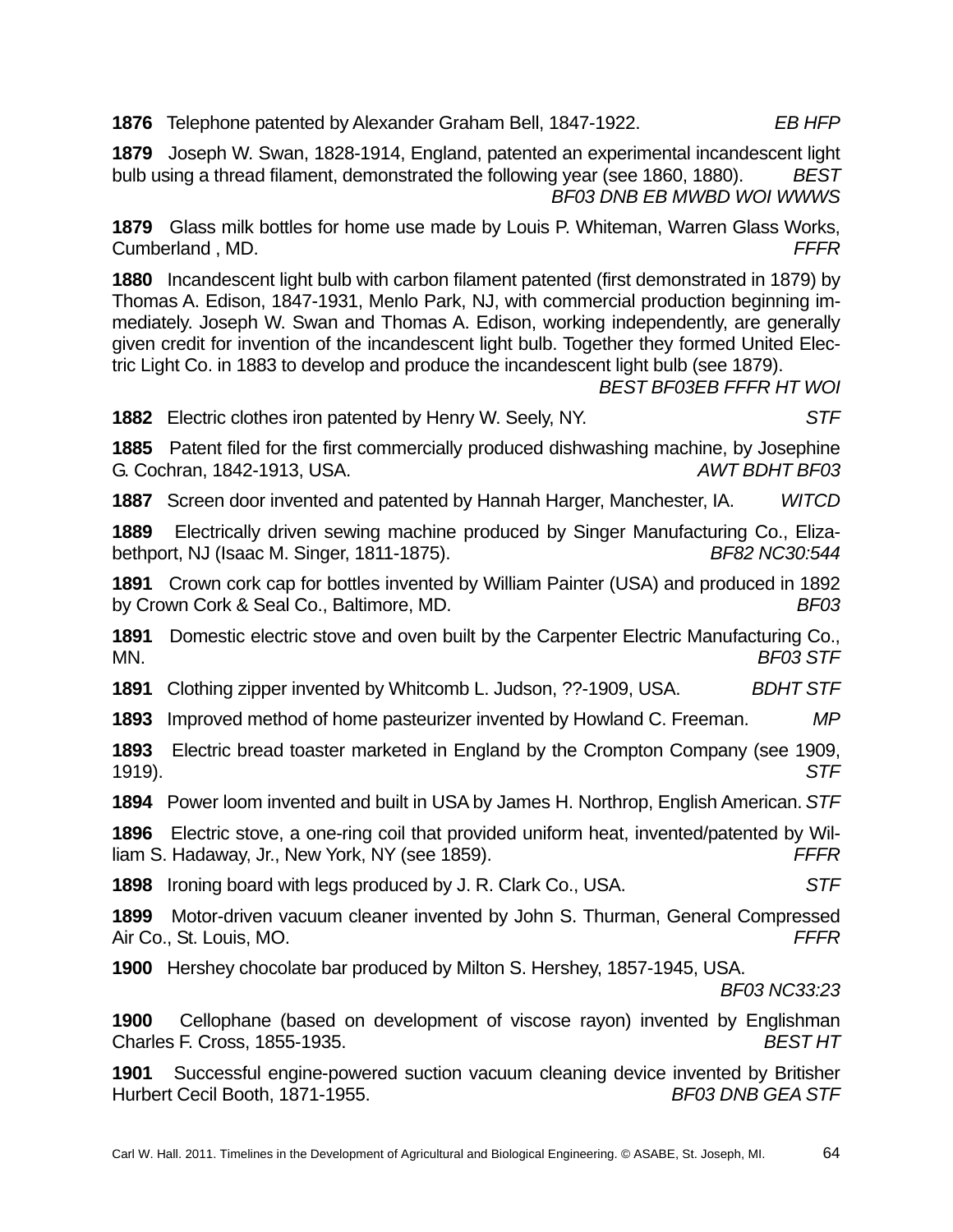**1876** Telephone patented by Alexander Graham Bell, 1847-1922. *EB HFP*

**1879** Joseph W. Swan, 1828-1914, England, patented an experimental incandescent light bulb using a thread filament, demonstrated the following year (see 1860, 1880). *BEST BF03 DNB EB MWBD WOI WWWS*

**1879** Glass milk bottles for home use made by Louis P. Whiteman, Warren Glass Works, Cumberland , MD. *FFFR*

**1880** Incandescent light bulb with carbon filament patented (first demonstrated in 1879) by Thomas A. Edison, 1847-1931, Menlo Park, NJ, with commercial production beginning immediately. Joseph W. Swan and Thomas A. Edison, working independently, are generally given credit for invention of the incandescent light bulb. Together they formed United Electric Light Co. in 1883 to develop and produce the incandescent light bulb (see 1879).

*BEST BF03EB FFFR HT WOI*

**1882** Electric clothes iron patented by Henry W. Seely, NY. *STF*

**1885** Patent filed for the first commercially produced dishwashing machine, by Josephine G. Cochran, 1842-1913, USA. *AWT BDHT BF03* 

**1887** Screen door invented and patented by Hannah Harger, Manchester, IA. *WITCD* 

**1889** Electrically driven sewing machine produced by Singer Manufacturing Co., Elizabethport, NJ (Isaac M. Singer, 1811-1875). *BF82 NC30:544*

**1891** Crown cork cap for bottles invented by William Painter (USA) and produced in 1892 by Crown Cork & Seal Co., Baltimore, MD. *BF03*

**1891** Domestic electric stove and oven built by the Carpenter Electric Manufacturing Co., MN. *BF03 STF*

**1891** Clothing zipper invented by Whitcomb L. Judson, ??-1909, USA. *BDHT STF*

**1893** Improved method of home pasteurizer invented by Howland C. Freeman. *MP*

**1893** Electric bread toaster marketed in England by the Crompton Company (see 1909, 1919). *STF*

**1894** Power loom invented and built in USA by James H. Northrop, English American. *STF*

**1896** Electric stove, a one-ring coil that provided uniform heat, invented/patented by William S. Hadaway, Jr., New York, NY (see 1859). *FFFR*

**1898** Ironing board with legs produced by J. R. Clark Co., USA. *STF*

**1899** Motor-driven vacuum cleaner invented by John S. Thurman, General Compressed Air Co., St. Louis, MO. *FFFR*

**1900** Hershey chocolate bar produced by Milton S. Hershey, 1857-1945, USA.

*BF03 NC33:23*

**1900** Cellophane (based on development of viscose rayon) invented by Englishman Charles F. Cross, 1855-1935. *BEST HT*

**1901** Successful engine-powered suction vacuum cleaning device invented by Britisher Hurbert Cecil Booth, 1871-1955. *BF03 DNB GEA STF*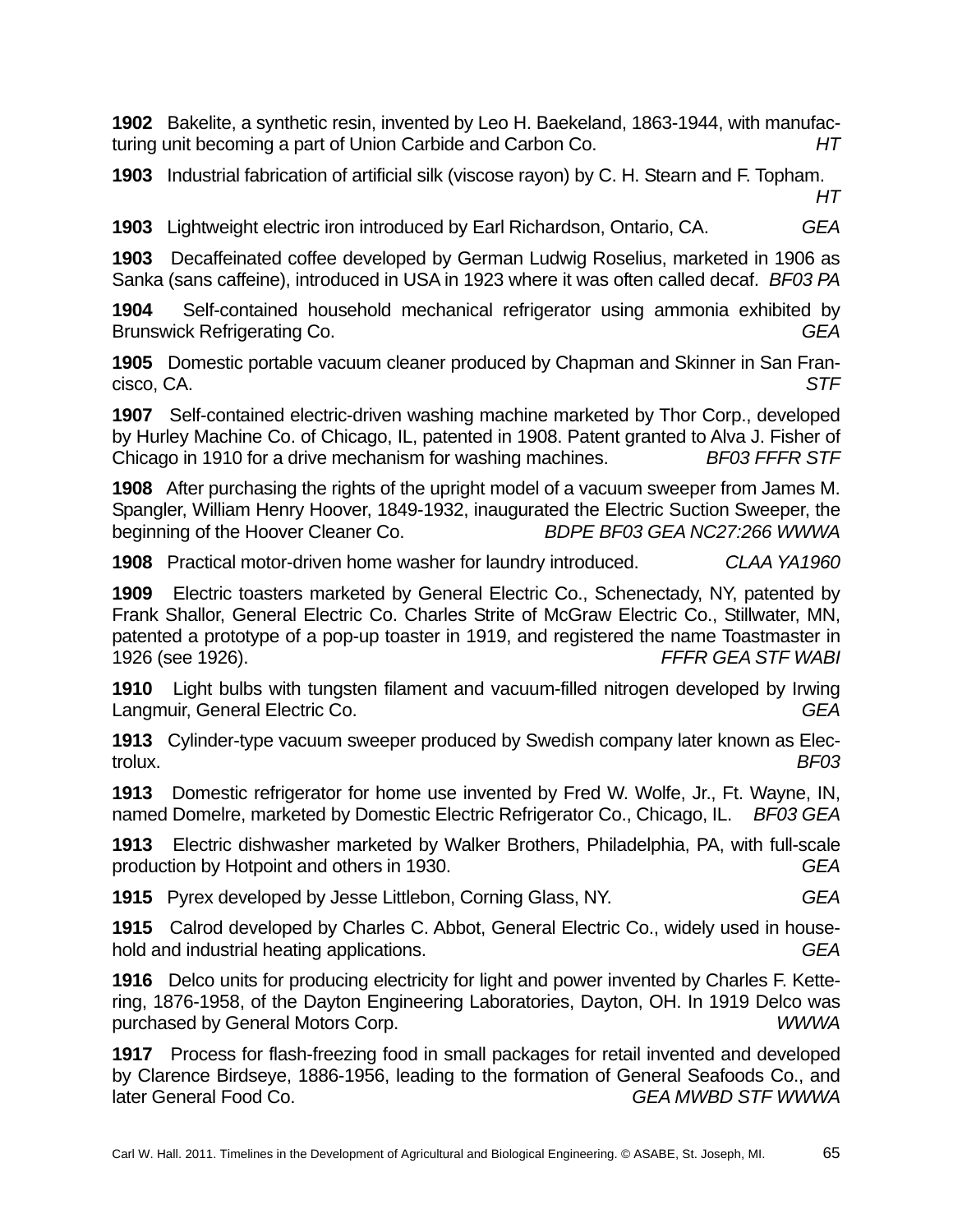**1902** Bakelite, a synthetic resin, invented by Leo H. Baekeland, 1863-1944, with manufacturing unit becoming a part of Union Carbide and Carbon Co. *HT* 

**1903** Industrial fabrication of artificial silk (viscose rayon) by C. H. Stearn and F. Topham. *HT* 

**1903** Lightweight electric iron introduced by Earl Richardson, Ontario, CA. *GEA* 

**1903** Decaffeinated coffee developed by German Ludwig Roselius, marketed in 1906 as Sanka (sans caffeine), introduced in USA in 1923 where it was often called decaf. *BF03 PA*

**1904** Self-contained household mechanical refrigerator using ammonia exhibited by Brunswick Refrigerating Co. *GEA* 

**1905** Domestic portable vacuum cleaner produced by Chapman and Skinner in San Francisco, CA. *STF* 

**1907** Self-contained electric-driven washing machine marketed by Thor Corp., developed by Hurley Machine Co. of Chicago, IL, patented in 1908. Patent granted to Alva J. Fisher of Chicago in 1910 for a drive mechanism for washing machines. *BF03 FFFR STF*

**1908** After purchasing the rights of the upright model of a vacuum sweeper from James M. Spangler, William Henry Hoover, 1849-1932, inaugurated the Electric Suction Sweeper, the beginning of the Hoover Cleaner Co. *BDPE BF03 GEA NC27:266 WWWA* 

**1908** Practical motor-driven home washer for laundry introduced. *CLAA YA1960* 

**1909** Electric toasters marketed by General Electric Co., Schenectady, NY, patented by Frank Shallor, General Electric Co. Charles Strite of McGraw Electric Co., Stillwater, MN, patented a prototype of a pop-up toaster in 1919, and registered the name Toastmaster in 1926 (see 1926). *FFFR GEA STF WABI* 

**1910** Light bulbs with tungsten filament and vacuum-filled nitrogen developed by Irwing Langmuir, General Electric Co. *GEA* 

**1913** Cylinder-type vacuum sweeper produced by Swedish company later known as Electrolux. *BF03* 

**1913** Domestic refrigerator for home use invented by Fred W. Wolfe, Jr., Ft. Wayne, IN, named Domelre, marketed by Domestic Electric Refrigerator Co., Chicago, IL. *BF03 GEA* 

**1913** Electric dishwasher marketed by Walker Brothers, Philadelphia, PA, with full-scale production by Hotpoint and others in 1930. *GEA*

**1915** Pyrex developed by Jesse Littlebon, Corning Glass, NY. *GEA*

**1915** Calrod developed by Charles C. Abbot, General Electric Co., widely used in household and industrial heating applications. *GEA*

**1916** Delco units for producing electricity for light and power invented by Charles F. Kettering, 1876-1958, of the Dayton Engineering Laboratories, Dayton, OH. In 1919 Delco was purchased by General Motors Corp. *WWWA*

**1917** Process for flash-freezing food in small packages for retail invented and developed by Clarence Birdseye, 1886-1956, leading to the formation of General Seafoods Co., and later General Food Co. *GEA MWBD STF WWWA*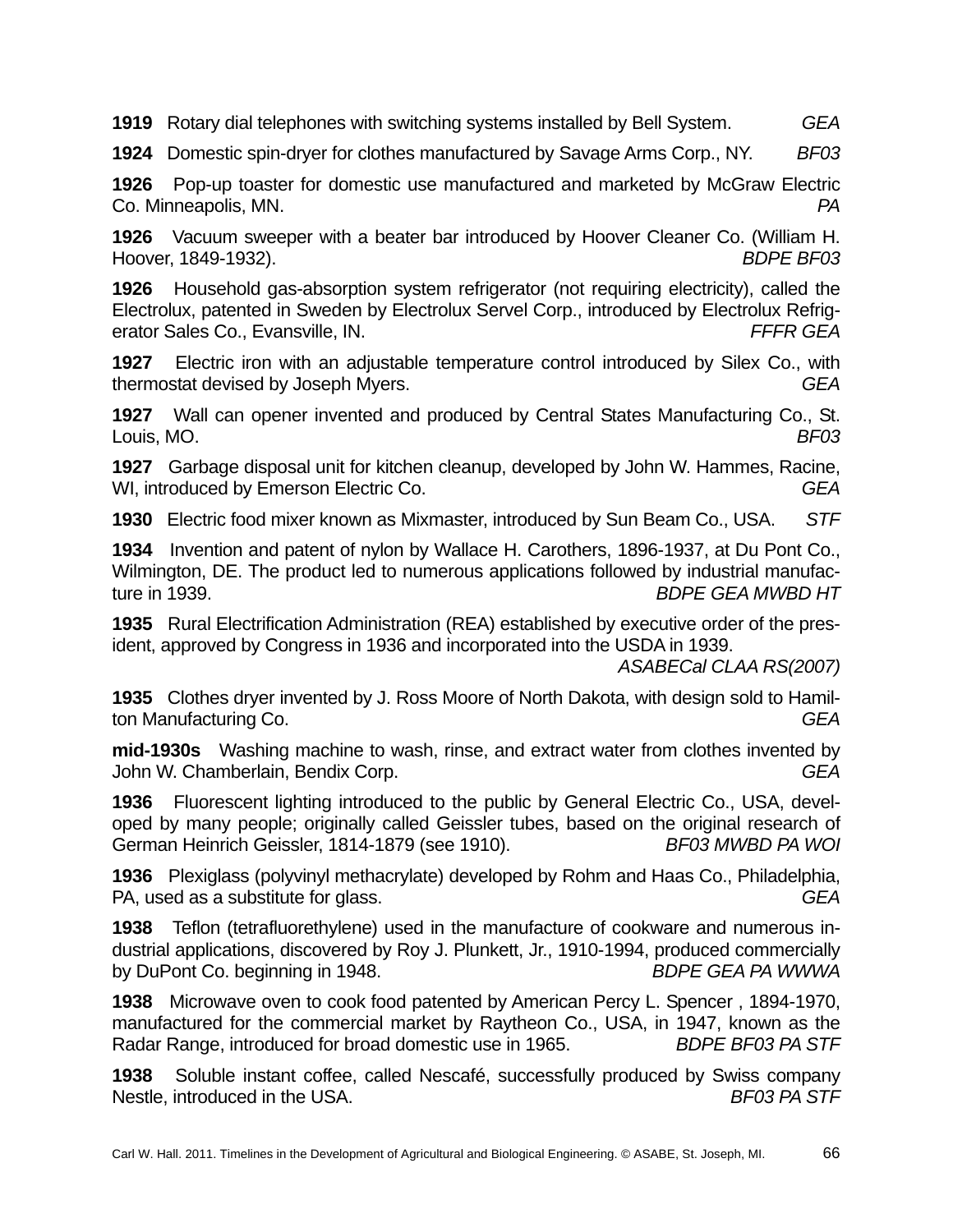**1919** Rotary dial telephones with switching systems installed by Bell System. *GEA*

**1924** Domestic spin-dryer for clothes manufactured by Savage Arms Corp., NY. *BF03* 

**1926** Pop-up toaster for domestic use manufactured and marketed by McGraw Electric Co. Minneapolis, MN. *PA* 

**1926** Vacuum sweeper with a beater bar introduced by Hoover Cleaner Co. (William H. Hoover, 1849-1932). *BDPE BF03* 

**1926** Household gas-absorption system refrigerator (not requiring electricity), called the Electrolux, patented in Sweden by Electrolux Servel Corp., introduced by Electrolux Refrigerator Sales Co., Evansville, IN. *FFFR GEA* 

**1927** Electric iron with an adjustable temperature control introduced by Silex Co., with thermostat devised by Joseph Myers. *GEA* 

**1927** Wall can opener invented and produced by Central States Manufacturing Co., St. Louis, MO. *BF03* 

**1927** Garbage disposal unit for kitchen cleanup, developed by John W. Hammes, Racine, WI, introduced by Emerson Electric Co. **GEA GEA** 

**1930** Electric food mixer known as Mixmaster, introduced by Sun Beam Co., USA. *STF* 

**1934** Invention and patent of nylon by Wallace H. Carothers, 1896-1937, at Du Pont Co., Wilmington, DE. The product led to numerous applications followed by industrial manufacture in 1939. *BDPE GEA MWBD HT* 

**1935** Rural Electrification Administration (REA) established by executive order of the president, approved by Congress in 1936 and incorporated into the USDA in 1939.

*ASABECal CLAA RS(2007)* 

**1935** Clothes dryer invented by J. Ross Moore of North Dakota, with design sold to Hamilton Manufacturing Co. *GEA* 

**mid-1930s** Washing machine to wash, rinse, and extract water from clothes invented by John W. Chamberlain, Bendix Corp. *GEA* 

**1936** Fluorescent lighting introduced to the public by General Electric Co., USA, developed by many people; originally called Geissler tubes, based on the original research of German Heinrich Geissler, 1814-1879 (see 1910). *BF03 MWBD PA WOI* 

**1936** Plexiglass (polyvinyl methacrylate) developed by Rohm and Haas Co., Philadelphia, PA, used as a substitute for glass. *GEA* 

**1938** Teflon (tetrafluorethylene) used in the manufacture of cookware and numerous industrial applications, discovered by Roy J. Plunkett, Jr., 1910-1994, produced commercially by DuPont Co. beginning in 1948. *BDPE GEA PA WWWA* 

**1938** Microwave oven to cook food patented by American Percy L. Spencer , 1894-1970, manufactured for the commercial market by Raytheon Co., USA, in 1947, known as the Radar Range, introduced for broad domestic use in 1965. *BDPE BF03 PA STF*

**1938** Soluble instant coffee, called Nescafé, successfully produced by Swiss company Nestle, introduced in the USA. **BF03 PA STF**